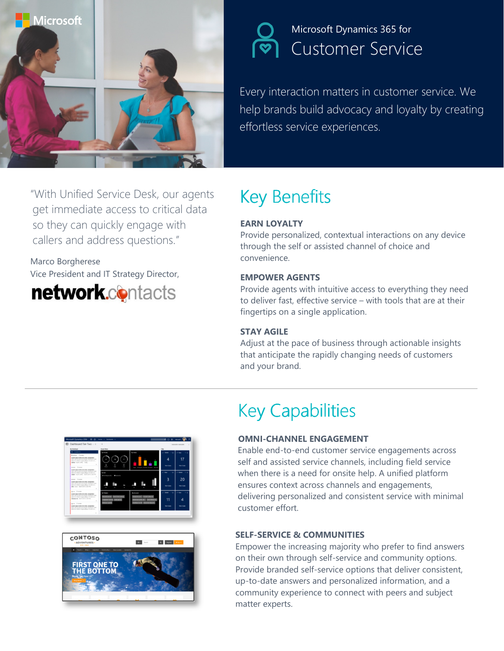

## Microsoft Dynamics 365 for Customer Service

Every interaction matters in customer service. We help brands build advocacy and loyalty by creating effortless service experiences.

"With Unified Service Desk, our agents get immediate access to critical data so they can quickly engage with callers and address questions."

### Marco Borgherese Vice President and IT Strategy Director,



# Key Benefits

#### EARN LOYALTY

Provide personalized, contextual interactions on any device through the self or assisted channel of choice and convenience.

#### EMPOWER AGENTS

Provide agents with intuitive access to everything they need to deliver fast, effective service – with tools that are at their fingertips on a single application.

#### STAY AGILE

Adjust at the pace of business through actionable insights that anticipate the rapidly changing needs of customers and your brand.





## **Key Capabilities**

#### OMNI-CHANNEL ENGAGEMENT

Enable end-to-end customer service engagements across self and assisted service channels, including field service when there is a need for onsite help. A unified platform ensures context across channels and engagements, delivering personalized and consistent service with minimal customer effort.

#### SELF-SERVICE & COMMUNITIES

Empower the increasing majority who prefer to find answers on their own through self-service and community options. Provide branded self-service options that deliver consistent, up-to-date answers and personalized information, and a community experience to connect with peers and subject matter experts.